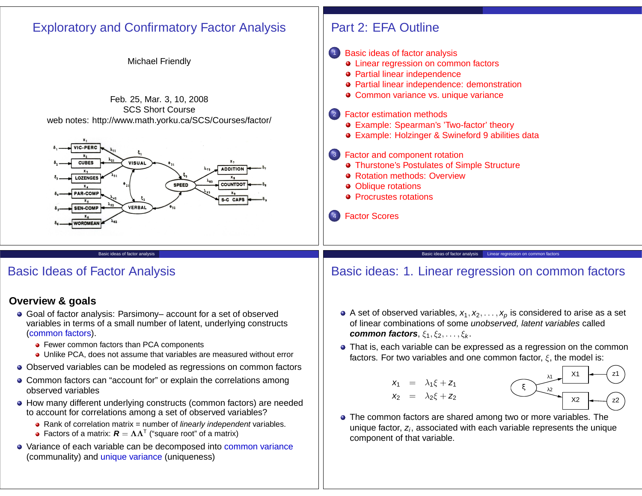

- **•** Fewer common factors than PCA components
- Unlike PCA, does not assume that variables are measured without error
- Observed variables can be modeled as regressions on common factors
- Common factors can "account for" or explain the correlations among observed variables
- How many different underlying constructs (common factors) are needed to account for correlations among a set of observed variables?
	- Rank of correlation matrix = number of *linearly independent* variables.
	- Factors of a matrix:  $\boldsymbol{R} = \boldsymbol{\Lambda}\boldsymbol{\Lambda}^\intercal$  ("square root" of a matrix)
- Variance of each variable can be decomposed into common variance (communality) and unique variance (uniqueness)

That is, each variable can be expressed as a regression on the common factors. For two variables and one common factor,  $\xi$ , the model is:





The common factors are shared among two or more variables. The unique factor,  $z_i$ , associated with each variable represents the unique component of that variable.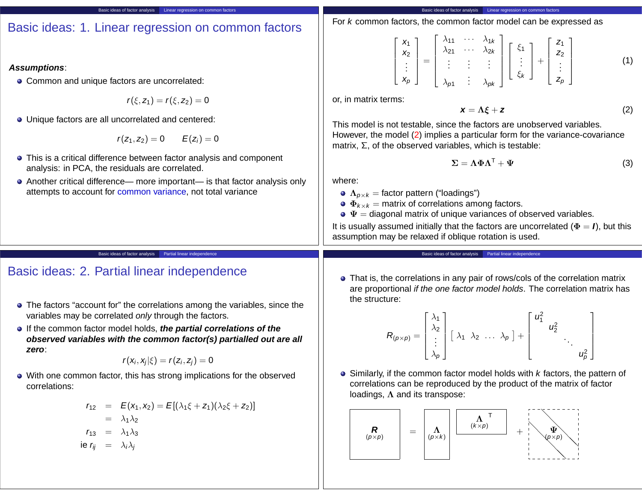|  |  | Basic ideas: 1. Linear regression on common factors |  | $\begin{array}{c c c c c} \hline \end{array}$ For k c |
|--|--|-----------------------------------------------------|--|-------------------------------------------------------|
|--|--|-----------------------------------------------------|--|-------------------------------------------------------|

### **Assumptions**:

• Common and unique factors are uncorrelated:

 $r(\xi, z_1) = r(\xi, z_2) = 0$ 

Basic ideas of factor analysis Linear regression on common factors

Unique factors are all uncorrelated and centered:

$$
r(z_1, z_2) = 0 \qquad E(z_i) = 0
$$

- This is a critical difference between factor analysis and component analysis: in PCA, the residuals are correlated.
- Another critical difference— more important— is that factor analysis only attempts to account for common variance, not total variance

Basic ideas of factor analysis Linear regression on common factors ommon factors, the common factor model can be expressed as

$$
\begin{bmatrix} x_1 \\ x_2 \\ \vdots \\ x_p \end{bmatrix} = \begin{bmatrix} \lambda_{11} & \cdots & \lambda_{1k} \\ \lambda_{21} & \cdots & \lambda_{2k} \\ \vdots & \vdots & \vdots \\ \lambda_{p1} & \vdots & \lambda_{pk} \end{bmatrix} \begin{bmatrix} \xi_1 \\ \vdots \\ \xi_k \end{bmatrix} + \begin{bmatrix} z_1 \\ z_2 \\ \vdots \\ z_p \end{bmatrix}
$$
 (1)

or, in matrix terms:

$$
x = \Lambda \xi + z \tag{2}
$$

This model is not testable, since the factors are unobserved variables. However, the model (2) implies a particular form for the variance-covariance matrix,  $\Sigma$ , of the observed variables, which is testable:

$$
\Sigma = \Lambda \Phi \Lambda^{T} + \Psi
$$
 (3)

where:

- $\mathbf{\Omega}_{p\times k} =$  factor pattern ("loadings")
- $\mathbf{\Phi}_{k\times k} =$  matrix of correlations among factors.
- $\mathbf{\Phi} \mathbf{\Psi} =$  diagonal matrix of unique variances of observed variables.

It is usually assumed initially that the factors are uncorrelated ( $\Phi = I$ ), but this assumption may be relaxed if oblique rotation is used.

Basic ideas of factor analysis **Partial linear independence** 

# Basic ideas: 2. Partial linear independence

The factors "account for" the correlations among the variables, since the variables may be correlated only through the factors.

Basic ideas of factor analysis Partial linear independence

If the common factor model holds, **the partial correlations of the observed variables with the common factor(s) partialled out are all zero**:

$$
r(\mathbf{x}_i,\mathbf{x}_j|\xi)=r(\mathbf{z}_i,\mathbf{z}_j)=0
$$

With one common factor, this has strong implications for the observed correlations:

$$
r_{12} = E(x_1, x_2) = E[(\lambda_1 \xi + z_1)(\lambda_2 \xi + z_2)]
$$
  
=  $\lambda_1 \lambda_2$   

$$
r_{13} = \lambda_1 \lambda_3
$$
  
ie  $r_{ij} = \lambda_i \lambda_j$ 

• That is, the correlations in any pair of rows/cols of the correlation matrix are proportional if the one factor model holds. The correlation matrix has the structure:

$$
R_{(p \times p)} = \begin{bmatrix} \lambda_1 \\ \lambda_2 \\ \vdots \\ \lambda_p \end{bmatrix} \begin{bmatrix} \lambda_1 & \lambda_2 & \dots & \lambda_p \end{bmatrix} + \begin{bmatrix} u_1^2 & & & \\ & u_2^2 & & \\ & & \ddots & \\ & & & u_p^2 \end{bmatrix}
$$

 $\bullet$  Similarly, if the common factor model holds with  $k$  factors, the pattern of correlations can be reproduced by the product of the matrix of factor loadings,  $\Lambda$  and its transpose:

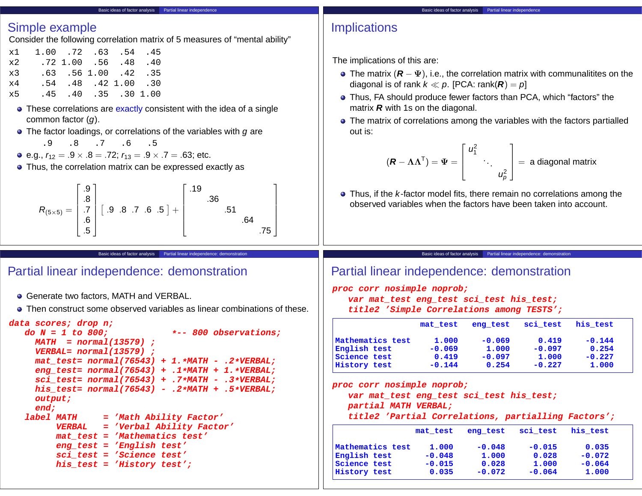#### Basic ideas of factor analysis **Partial linear independence**

### Simple example

Consider the following correlation matrix of 5 measures of "mental ability"

| x1          |  | 1.00 .72 .63 .54 .45 |  |
|-------------|--|----------------------|--|
| $\times$ 2. |  | .72 1.00 .56 .48 .40 |  |
| x3          |  | .63 .56 1.00 .42 .35 |  |
| $\times 4$  |  | .54 .48 .42 1.00 .30 |  |
| x5          |  | .45 .40 .35 .30 1.00 |  |

- These correlations are exactly consistent with the idea of a single common factor (g).
- $\bullet$  The factor loadings, or correlations of the variables with  $q$  are

$$
\begin{matrix} .9 & .8 & .7 & .6 & .5 \end{matrix}
$$

• e.g., 
$$
r_{12} = .9 \times .8 = .72
$$
;  $r_{13} = .9 \times .7 = .63$ ; etc.

Thus, the correlation matrix can be expressed exactly as

$$
R_{(5\times5)} = \begin{bmatrix} .9 \\ .8 \\ .7 \\ .6 \\ .5 \end{bmatrix} [ .9 .8 .7 .6 .5 ] + \begin{bmatrix} .19 \\ .36 \\ .51 \\ .64 \\ .75 \end{bmatrix}
$$

### Basic ideas of factor analysis **Partial linear independence**

## **Implications**

The implications of this are:

- The matrix (**R** − Ψ), i.e., the correlation matrix with communalitites on the diagonal is of rank  $k \ll p$ . [PCA: rank( $\mathbf{R}$ ) = p]
- Thus, FA should produce fewer factors than PCA, which "factors" the matrix **R** with 1s on the diagonal.
- The matrix of correlations among the variables with the factors partialled out is:

$$
(\boldsymbol{R} - \boldsymbol{\Lambda}\boldsymbol{\Lambda}^{\mathsf{T}}) = \boldsymbol{\Psi} = \begin{bmatrix} u_1^2 & & \\ & \ddots & \\ & & u_p^2 \end{bmatrix} = \text{ a diagonal matrix}
$$

• Thus, if the *k*-factor model fits, there remain no correlations among the observed variables when the factors have been taken into account.

Basic ideas of factor analysis **Partial linear independence: demonstrational** 

1  $\mathbf{I}$  $\mathbf{I}$  $\mathbf{I}$  $\frac{1}{2}$  $\mathbf{I}$ 

## Partial linear independence: demonstration

- Generate two factors, MATH and VERBAL.
- Then construct some observed variables as linear combinations of these.

#### **data scores; drop n;**

```
do N = 1 to 800; *-- 800 observations;
 MATH = normal(13579) ;
  VERBAL= normal(13579) ;
  mat_test= normal(76543) + 1.*MATH - .2*VERBAL;
  eng_test= normal(76543) + .1*MATH + 1.*VERBAL;
  sci_test= normal(76543) + .7*MATH - .3*VERBAL;
  his_test= normal(76543) - .2*MATH + .5*VERBAL;
  output;
  end;
label MATH = 'Math Ability Factor'
     VERBAL = 'Verbal Ability Factor'
      mat_test = 'Mathematics test'
      eng_test = 'English test'
      sci_test = 'Science test'
      his_test = 'History test';
```
Basic ideas of factor analysis **Partial linear independence: demonstration** 

# Partial linear independence: demonstration

**proc corr nosimple noprob; var mat\_test eng\_test sci\_test his\_test; title2 'Simple Correlations among TESTS';**

|                  | mat test | eng test | sci test | his test |
|------------------|----------|----------|----------|----------|
| Mathematics test | 1,000    | $-0.069$ | 0.419    | $-0.144$ |
| English test     | $-0.069$ | 1,000    | $-0.097$ | 0.254    |
| Science test     | 0.419    | $-0.097$ | 1,000    | $-0.227$ |
| History test     | $-0.144$ | 0.254    | $-0.227$ | 1,000    |

**proc corr nosimple noprob;**

```
var mat_test eng_test sci_test his_test;
```
**partial MATH VERBAL;**

**title2 'Partial Correlations, partialling Factors';**

|                  | mat test | eng test | sci test | his test |  |
|------------------|----------|----------|----------|----------|--|
| Mathematics test | 1,000    | $-0.048$ | $-0.015$ | 0.035    |  |
| English test     | $-0.048$ | 1,000    | 0.028    | $-0.072$ |  |
| Science test     | $-0.015$ | 0.028    | 1,000    | $-0.064$ |  |
| History test     | 0.035    | $-0.072$ | $-0.064$ | 1,000    |  |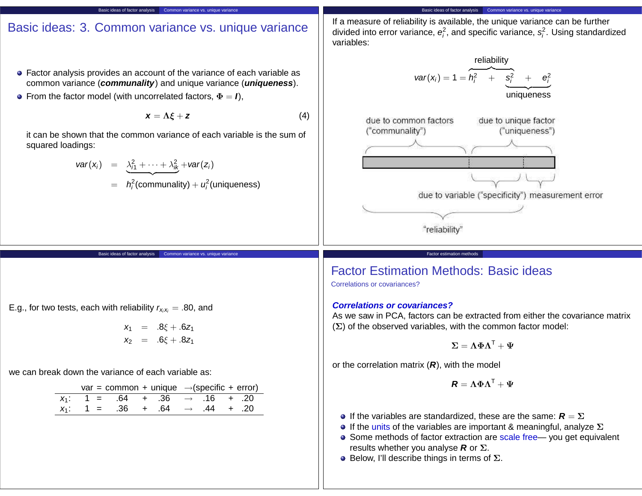# Basic ideas: 3. Common variance vs. unique variance

Basic ideas of factor analysis Common variance vs. unique variance

- Factor analysis provides an account of the variance of each variable as common variance (**communality**) and unique variance (**uniqueness**).
- **•** From the factor model (with uncorrelated factors,  $\Phi = I$ ),

$$
x = \Lambda \xi + z \tag{4}
$$

it can be shown that the common variance of each variable is the sum of squared loadings:

Basic ideas of factor analysis Common variance vs. unique variance

$$
var(x_i) = \frac{\lambda_{i1}^2 + \cdots + \lambda_{ik}^2}{2} + var(z_i)
$$

$$
= h_i^2
$$
(communality) +  $u_i^2$ (uniqueness)

Basic ideas of factor analysis Common variance vs. unique variance If a measure of reliability is available, the unique variance can be further

divided into error variance,  $e_i^2$ , and specific variance,  $s_i^2$ . Using standardized variables:



## Factor Estimation Methods: Basic ideas

Correlations or covariances?

### **Correlations or covariances?**

As we saw in PCA, factors can be extracted from either the covariance matrix (Σ) of the observed variables, with the common factor model:

$$
\boldsymbol{\Sigma} = \boldsymbol{\Lambda\Phi\Lambda^{\mathsf{T}}} + \boldsymbol{\Psi}
$$

or the correlation matrix (**R**), with the model

$$
\boldsymbol{R} = \boldsymbol{\Lambda} \boldsymbol{\Phi} \boldsymbol{\Lambda}^{\mathsf{T}} + \boldsymbol{\Psi}
$$

**If the variables are standardized, these are the same:**  $\mathbf{R} = \Sigma$ 

Factor estimation method

- **If the units of the variables are important & meaningful, analyze**  $\Sigma$
- Some methods of factor extraction are scale free— you get equivalent results whether you analyse **R** or Σ.
- $\bullet$  Below, I'll describe things in terms of  $\Sigma$ .

E.g., for two tests, each with reliability  $r_{x_ix_i} = .80$ , and

$$
x_1 = .8\xi + .6z_1
$$
  

$$
x_2 = .6\xi + .8z_1
$$

we can break down the variance of each variable as:

|  | var = common + unique $\rightarrow$ (specific + error) |  |  |  |
|--|--------------------------------------------------------|--|--|--|
|  | $x_1$ : 1 = .64 + .36 $\rightarrow$ .16 + .20          |  |  |  |
|  | $x_1$ : 1 = .36 + .64 $\rightarrow$ .44 + .20          |  |  |  |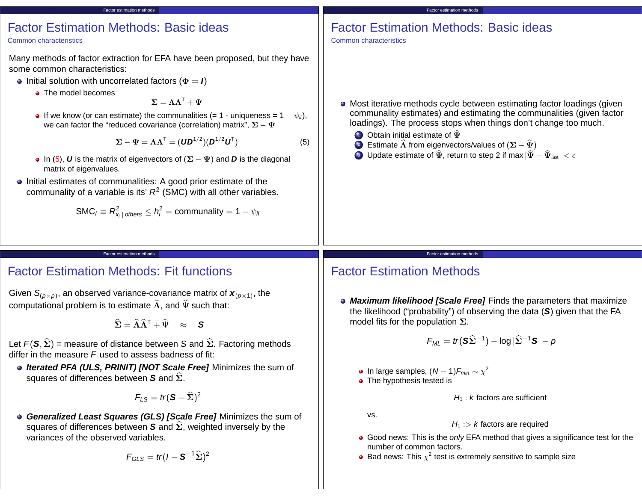# Factor Estimation Methods: Basic ideas

Factor estimation methods

#### Common characteristics

Many methods of factor extraction for EFA have been proposed, but they have some common characteristics:

- **•** Initial solution with uncorrelated factors ( $\Phi = I$ )
	- The model becomes

 $\Sigma = \Lambda \Lambda^{T} + \Psi$ 

• If we know (or can estimate) the communalities (= 1 - uniqueness =  $1 - \psi_{ii}$ ), we can factor the "reduced covariance (correlation) matrix",  $\Sigma - \Psi$ 

$$
\Sigma - \Psi = \Lambda \Lambda^{T} = (\mathbf{U}\mathbf{D}^{1/2})(\mathbf{D}^{1/2}\mathbf{U}^{T})
$$
\n(5)

- In (5), *U* is the matrix of eigenvectors of  $(\Sigma \Psi)$  and *D* is the diagonal matrix of eigenvalues.
- **.** Initial estimates of communalities: A good prior estimate of the communality of a variable is its'  $R^2$  (SMC) with all other variables.

$$
\mathsf{SMC}_i \equiv R_{x_i\,|\, \text{others}}^2 \leq h_i^2 = \text{communality} = 1 - \psi_i
$$

Factor estimation methods

# Factor Estimation Methods: Basic ideas

Common characteristics

- Most iterative methods cycle between estimating factor loadings (given communality estimates) and estimating the communalities (given factor loadings). The process stops when things don't change too much.
	- **1** Obtain initial estimate of  $\widehat{\Psi}$
	- 2 Estimate  $\widehat{\Lambda}$  from eigenvectors/values of  $(\Sigma \widehat{\Psi})$

Factor estimation methods

3 Update estimate of  $\widehat{\Psi}$ , return to step 2 if max  $|\widehat{\Psi} - \widehat{\Psi}_{\text{last}}| < \epsilon$ 

#### Factor estimation methods

## Factor Estimation Methods: Fit functions

Given  $S_{(p\times p)}$ , an observed variance-covariance matrix of  $\bm{x}_{(p\times 1)}$ , the computational problem is to estimate  $\widehat{\Lambda}$ , and  $\widehat{\Psi}$  such that:

 $\hat{\Sigma} = \hat{\Lambda} \hat{\Lambda}^{\mathsf{T}} + \hat{\Psi} \approx \mathsf{S}$ 

- Let  $F(\mathbf{S}, \hat{\Sigma})$  = measure of distance between S and  $\hat{\Sigma}$ . Factoring methods differ in the measure  $F$  used to assess badness of fit:
	- **Iterated PFA (ULS, PRINIT) [NOT Scale Free]** Minimizes the sum of squares of differences between **S** and Σ.

$$
\textit{F}_{\textit{LS}} = \textit{tr}(\textbf{S} - \widehat{\Sigma})^2
$$

**Generalized Least Squares (GLS) [Scale Free]** Minimizes the sum of squares of differences between **S** and  $\hat{\Sigma}$ , weighted inversely by the variances of the observed variables.

$$
F_{GLS}=tr(I-S^{-1}\widehat{\Sigma})^2
$$

# Factor Estimation Methods

**Maximum likelihood [Scale Free]** Finds the parameters that maximize the likelihood ("probability") of observing the data (**S**) given that the FA model fits for the population  $\Sigma$ .

$$
F_{ML} = tr(\mathbf{S}\widehat{\Sigma}^{-1}) - \log|\widehat{\Sigma}^{-1}\mathbf{S}| - p
$$

- In large samples,  $(N-1)F_{min} \sim \chi^2$
- The hypothesis tested is

 $H_0$ : k factors are sufficient

vs.

- $H_1$  :> k factors are required
- Good news: This is the only EFA method that gives a significance test for the number of common factors.
- Bad news: This  $\chi^2$  test is extremely sensitive to sample size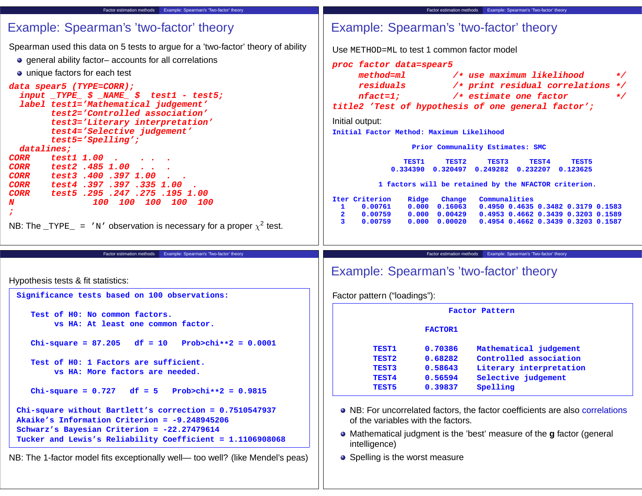| Factor estimation methods Example: Spearman's 'Two-factor' theory                                                                                                                                                                                                                                                                                                                                                                                                                                                                                                                                                                                                                    | Factor estimation methods   Example: Spearman's 'Two-factor' theory                                                                                                                                                                                                                                                                                                                                                                                                                                                                                                                                                                                                                                                                                                                                   |
|--------------------------------------------------------------------------------------------------------------------------------------------------------------------------------------------------------------------------------------------------------------------------------------------------------------------------------------------------------------------------------------------------------------------------------------------------------------------------------------------------------------------------------------------------------------------------------------------------------------------------------------------------------------------------------------|-------------------------------------------------------------------------------------------------------------------------------------------------------------------------------------------------------------------------------------------------------------------------------------------------------------------------------------------------------------------------------------------------------------------------------------------------------------------------------------------------------------------------------------------------------------------------------------------------------------------------------------------------------------------------------------------------------------------------------------------------------------------------------------------------------|
| Example: Spearman's 'two-factor' theory                                                                                                                                                                                                                                                                                                                                                                                                                                                                                                                                                                                                                                              | Example: Spearman's 'two-factor' theory                                                                                                                                                                                                                                                                                                                                                                                                                                                                                                                                                                                                                                                                                                                                                               |
| Spearman used this data on 5 tests to argue for a 'two-factor' theory of ability<br>• general ability factor-accounts for all correlations<br>• unique factors for each test<br>data spear5 (TYPE=CORR);<br>$input$ $TYPE$ $\acute{s}$ $NAME$ $\acute{s}$ $test1$ - $test5$ ;<br>label test1='Mathematical judgement'<br>test2='Controlled association'<br>test3='Literary interpretation'<br>test4='Selective judgement'<br>$test5='Spelling'$ ;<br>datalines;<br><b>CORR</b><br>test1 1.00<br>test2.485 1.00<br><b>CORR</b><br>test3.400.397 1.00<br><b>CORR</b><br>test4.397.397.335 1.00<br><b>CORR</b><br>test5.295.247.275.195.1.00<br><b>CORR</b><br>100 100 100 100 100<br>N | Use METHOD=ML to test 1 common factor model<br>proc factor data=spear5<br>method=ml<br>/* use maximum likelihood<br>$\star$ /<br>residuals<br>/* print residual correlations */<br>$nfact=1;$<br>/* estimate one factor<br>$\star$ /<br>title2 'Test of hypothesis of one general factor';<br>Initial output:<br>Initial Factor Method: Maximum Likelihood<br>Prior Communality Estimates: SMC<br><b>TEST1</b><br>TEST2<br><b>TEST3</b><br>TEST4<br>TEST5<br>0.334390  0.320497  0.249282  0.232207  0.123625<br>1 factors will be retained by the NFACTOR criterion.<br>Iter Criterion<br>Ridge<br>Change<br>Communalities<br>$\mathbf{1}$<br>0.00761<br>0.000<br>0.16063<br>0.4950 0.4635 0.3482 0.3179 0.1583<br>0.00429<br>$\mathbf{2}$<br>0.00759<br>0.000<br>0.4953 0.4662 0.3439 0.3203 0.1589 |
| NB: The $_TYPE_$ = 'N' observation is necessary for a proper $\chi^2$ test.                                                                                                                                                                                                                                                                                                                                                                                                                                                                                                                                                                                                          | 3<br>0.00759<br>0.000<br>0.00020<br>0.4954 0.4662 0.3439 0.3203 0.1587                                                                                                                                                                                                                                                                                                                                                                                                                                                                                                                                                                                                                                                                                                                                |
|                                                                                                                                                                                                                                                                                                                                                                                                                                                                                                                                                                                                                                                                                      |                                                                                                                                                                                                                                                                                                                                                                                                                                                                                                                                                                                                                                                                                                                                                                                                       |
| Example: Spearman's 'Two-factor' theory<br>Factor estimation methods<br>Hypothesis tests & fit statistics:                                                                                                                                                                                                                                                                                                                                                                                                                                                                                                                                                                           | Example: Spearman's 'Two-factor' theory<br>Factor estimation methods<br>Example: Spearman's 'two-factor' theory                                                                                                                                                                                                                                                                                                                                                                                                                                                                                                                                                                                                                                                                                       |
| Significance tests based on 100 observations:                                                                                                                                                                                                                                                                                                                                                                                                                                                                                                                                                                                                                                        | Factor pattern ("loadings"):                                                                                                                                                                                                                                                                                                                                                                                                                                                                                                                                                                                                                                                                                                                                                                          |
| Test of H0: No common factors.<br>vs HA: At least one common factor.                                                                                                                                                                                                                                                                                                                                                                                                                                                                                                                                                                                                                 | Factor Pattern<br><b>FACTOR1</b>                                                                                                                                                                                                                                                                                                                                                                                                                                                                                                                                                                                                                                                                                                                                                                      |
| Chi-square = $87.205$ df = 10 Prob>chi**2 = 0.0001<br>Test of H0: 1 Factors are sufficient.<br>vs HA: More factors are needed.<br>Chi-square = $0.727$ df = $5$<br>$Prob>chi**2 = 0.9815$                                                                                                                                                                                                                                                                                                                                                                                                                                                                                            | 0.70386<br>Mathematical judgement<br><b>TEST1</b><br>0.68282<br>Controlled association<br><b>TEST2</b><br>TEST3<br>0.58643<br>Literary interpretation<br>0.56594<br>Selective judgement<br><b>TEST4</b><br>Spelling<br>0.39837<br><b>TEST5</b>                                                                                                                                                                                                                                                                                                                                                                                                                                                                                                                                                        |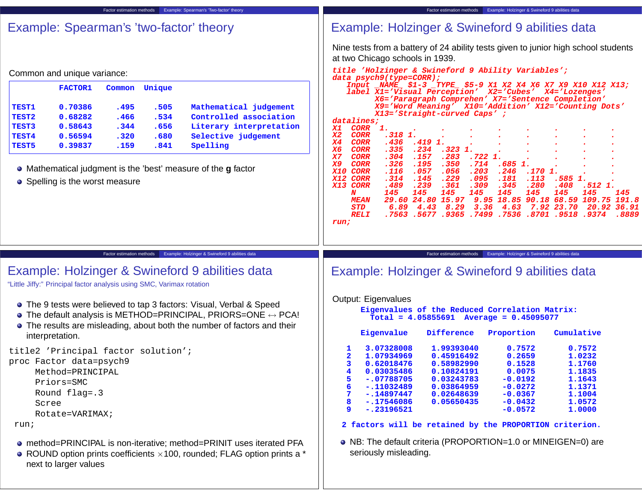| Example: Spearman's 'Two-factor' theory<br>Factor estimation methods                                                                                                                                                                                                                                                                                                                                                                                                               | Example: Holzinger & Swineford 9 abilities data<br>Factor estimation methods                                                                                                                                                                                                                                                                                                                                                                                                                                                                                                                                                                                                                                                                                                                                                                                                                                                                                                                                                                                                                                                                                                                                                                                                                                                                                               |  |  |  |
|------------------------------------------------------------------------------------------------------------------------------------------------------------------------------------------------------------------------------------------------------------------------------------------------------------------------------------------------------------------------------------------------------------------------------------------------------------------------------------|----------------------------------------------------------------------------------------------------------------------------------------------------------------------------------------------------------------------------------------------------------------------------------------------------------------------------------------------------------------------------------------------------------------------------------------------------------------------------------------------------------------------------------------------------------------------------------------------------------------------------------------------------------------------------------------------------------------------------------------------------------------------------------------------------------------------------------------------------------------------------------------------------------------------------------------------------------------------------------------------------------------------------------------------------------------------------------------------------------------------------------------------------------------------------------------------------------------------------------------------------------------------------------------------------------------------------------------------------------------------------|--|--|--|
| Example: Spearman's 'two-factor' theory                                                                                                                                                                                                                                                                                                                                                                                                                                            | Example: Holzinger & Swineford 9 abilities data                                                                                                                                                                                                                                                                                                                                                                                                                                                                                                                                                                                                                                                                                                                                                                                                                                                                                                                                                                                                                                                                                                                                                                                                                                                                                                                            |  |  |  |
| Common and unique variance:<br>Unique<br><b>FACTOR1</b><br>Common<br>0.70386<br>TEST1<br>.495<br>.505<br>Mathematical judgement<br>TEST2<br>0.68282<br>.534<br>Controlled association<br>.466<br>TEST3<br>0.58643<br>.656<br>Literary interpretation<br>.344<br>TEST4<br>0.56594<br>Selective judgement<br>.320<br>.680<br>0.39837<br>Spelling<br><b>TEST5</b><br>.159<br>.841<br>• Mathematical judgment is the 'best' measure of the g factor<br>• Spelling is the worst measure | Nine tests from a battery of 24 ability tests given to junior high school students<br>at two Chicago schools in 1939.<br>title 'Holzinger & Swineford 9 Ability Variables';<br>data psych9(type=CORR);<br>Input _NAME_\$1-3 _TYPE_\$5-9 X1 X2 X4 X6 X7 X9 X10 X12 X13;<br>label X1='Visual Perception' X2='Cubes' X4='Lozenges'<br>X6='Paragraph Comprehen' X7='Sentence Completion'<br>X9='Word Meaning' X10='Addition' X12='Counting Dots'<br>X13='Straight-curved Caps';<br>datalines;<br><b>CORR</b><br>$\mathbf{1}$ .<br>X1<br>$.318$ 1.<br>X <sub>2</sub><br><b>CORR</b><br>X4<br><b>CORR</b><br>.436<br>.419 1.<br>.234<br>$.323$ 1.<br><b>X6</b><br><b>CORR</b><br>.335<br>X7<br><b>CORR</b><br>.304<br>.157<br>.283<br>.722 1.<br><b>X9</b><br><b>CORR</b><br>.195<br>.350<br>.714<br>$.685$ 1.<br>.326<br><b>X10</b><br>CORR<br>.057<br>.056<br>.203<br>.246<br>.116<br>.170<br>X12 CORR<br>.314<br>.145<br>.229<br>.095<br>.181<br>.113<br>.585<br>X13 CORR<br>.239<br>.361<br>.309<br>.345<br>.280<br>.408<br>.489<br>.512 1.<br>145<br>145<br>145<br>145<br>145<br>145<br>145<br>N<br>145<br>145<br>109.75 191.8<br>29.60 24.80 15.97<br>9.95<br>18.85 90.18 68.59<br><b>MEAN</b><br>6.89<br>8.29<br>3.36<br>4.63<br>7.92 23.70<br><i>STD</i><br>4.43<br>20.92<br>36.91<br><b>RELI</b><br>.7563 .5677 .9365 .7499 .7536 .8701 .9518<br>.9374<br>.8889<br>run; |  |  |  |
|                                                                                                                                                                                                                                                                                                                                                                                                                                                                                    |                                                                                                                                                                                                                                                                                                                                                                                                                                                                                                                                                                                                                                                                                                                                                                                                                                                                                                                                                                                                                                                                                                                                                                                                                                                                                                                                                                            |  |  |  |
| Factor estimation methods Example: Holzinger & Swineford 9 abilities data                                                                                                                                                                                                                                                                                                                                                                                                          | Factor estimation methods Example: Holzinger & Swineford 9 abilities data                                                                                                                                                                                                                                                                                                                                                                                                                                                                                                                                                                                                                                                                                                                                                                                                                                                                                                                                                                                                                                                                                                                                                                                                                                                                                                  |  |  |  |
| Example: Holzinger & Swineford 9 abilities data<br>"Little Jiffy:" Principal factor analysis using SMC, Varimax rotation                                                                                                                                                                                                                                                                                                                                                           | Example: Holzinger & Swineford 9 abilities data                                                                                                                                                                                                                                                                                                                                                                                                                                                                                                                                                                                                                                                                                                                                                                                                                                                                                                                                                                                                                                                                                                                                                                                                                                                                                                                            |  |  |  |
| • The 9 tests were believed to tap 3 factors: Visual, Verbal & Speed<br>$\bullet$ The default analysis is METHOD=PRINCIPAL, PRIORS=ONE $\leftrightarrow$ PCA!<br>• The results are misleading, about both the number of factors and their<br>interpretation.                                                                                                                                                                                                                       | Output: Eigenvalues<br>Eigenvalues of the Reduced Correlation Matrix:<br>$Total = 4.05855691$ Average = $0.45095077$<br>Eigenvalue<br>Difference<br>Proportion<br>Cumulative                                                                                                                                                                                                                                                                                                                                                                                                                                                                                                                                                                                                                                                                                                                                                                                                                                                                                                                                                                                                                                                                                                                                                                                               |  |  |  |
| title2 'Principal factor solution';<br>proc Factor data=psych9<br>Method=PRINCIPAL<br>Priors=SMC<br>Round flag=.3<br>Scree<br>Rotate=VARIMAX;                                                                                                                                                                                                                                                                                                                                      | 3.07328008<br>1.99393040<br>0.7572<br>0.7572<br>ı<br>2<br>1.07934969<br>0.45916492<br>0.2659<br>1.0232<br>3<br>0.62018476<br>0.58982990<br>0.1528<br>1.1760<br>$\overline{\mathbf{4}}$<br>0.03035486<br>0.10824191<br>0.0075<br>1.1835<br>5<br>$-.07788705$<br>0.03243783<br>$-0.0192$<br>1.1643<br>6<br>$-.11032489$<br>0.03864959<br>$-0.0272$<br>1.1371<br>7<br>1.1004<br>$-.14897447$<br>0.02648639<br>$-0.0367$<br>1.0572<br>8<br>$-.17546086$<br>0.05650435<br>$-0.0432$<br>9<br>$-.23196521$<br>$-0.0572$<br>1.0000                                                                                                                                                                                                                                                                                                                                                                                                                                                                                                                                                                                                                                                                                                                                                                                                                                                 |  |  |  |
| run;<br>• method=PRINCIPAL is non-iterative; method=PRINIT uses iterated PFA<br>• ROUND option prints coefficients $\times$ 100, rounded; FLAG option prints a $*$<br>next to larger values                                                                                                                                                                                                                                                                                        | 2 factors will be retained by the PROPORTION criterion.<br>• NB: The default criteria (PROPORTION=1.0 or MINEIGEN=0) are<br>seriously misleading.                                                                                                                                                                                                                                                                                                                                                                                                                                                                                                                                                                                                                                                                                                                                                                                                                                                                                                                                                                                                                                                                                                                                                                                                                          |  |  |  |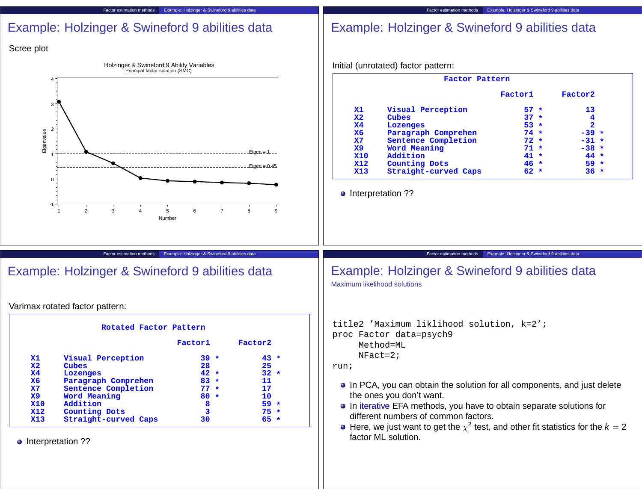| Scree plot                                                                                                                                     |                                                                                                                                                                                                                                                                                                                                                                                                                                                                                                                  |
|------------------------------------------------------------------------------------------------------------------------------------------------|------------------------------------------------------------------------------------------------------------------------------------------------------------------------------------------------------------------------------------------------------------------------------------------------------------------------------------------------------------------------------------------------------------------------------------------------------------------------------------------------------------------|
| Holzinger & Swineford 9 Ability Variables<br>Principal factor solution (SMC)                                                                   | Initial (unrotated) factor pattern:                                                                                                                                                                                                                                                                                                                                                                                                                                                                              |
|                                                                                                                                                | Factor Pattern                                                                                                                                                                                                                                                                                                                                                                                                                                                                                                   |
|                                                                                                                                                | Factor1<br>Factor2                                                                                                                                                                                                                                                                                                                                                                                                                                                                                               |
| 2<br>Eigenvalue<br>$Eigen = 1$<br>$Eigen = 0.45$<br>-1<br>$\overline{2}$<br>3<br>$\overline{7}$<br>5<br>6<br>8<br>9<br>$\overline{\mathbf{A}}$ | Visual Perception<br>$57 *$<br>13<br><b>X1</b><br>Cubes<br>$37 *$<br>$\mathbf{x}$<br>$\overline{\mathbf{4}}$<br>Lozenges<br>53 *<br>2<br><b>X4</b><br>Paragraph Comprehen<br><b>X6</b><br>$74 *$<br>$-39 *$<br>Sentence Completion<br>$72 *$<br>$\mathbf{x}$<br>$-31 *$<br>Word Meaning<br>$71 *$<br>$-38 *$<br><b>X9</b><br>Addition<br><b>X10</b><br>$41 *$<br>44 *<br><b>Counting Dots</b><br><b>X12</b><br>$46 *$<br>$59 *$<br>Straight-curved Caps<br>$36 *$<br><b>X13</b><br>$62 *$<br>• Interpretation ?? |
| Number<br>Example: Holzinger & Swineford 9 abilities data<br>Factor estimation methods                                                         | Example: Holzinger & Swineford 9 abilities data<br>Factor estimation methods                                                                                                                                                                                                                                                                                                                                                                                                                                     |
| Example: Holzinger & Swineford 9 abilities data                                                                                                | Example: Holzinger & Swineford 9 abilities data<br>Maximum likelihood solutions                                                                                                                                                                                                                                                                                                                                                                                                                                  |
| Varimax rotated factor pattern:                                                                                                                |                                                                                                                                                                                                                                                                                                                                                                                                                                                                                                                  |

Factor estimation methods Example: Holzinger & Swineford 9 abilities data

Factor estimation methods Example: Holzinger & Swineford 9 abilities data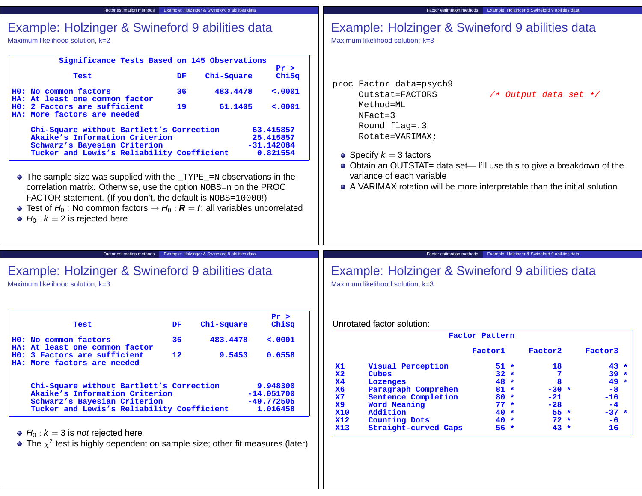| Factor estimation methods                                                                                                                                                                                                                                                                                                                                                                                     | Example: Holzinger & Swineford 9 abilities data                        | Factor estimation methods                                                                                                                                                                                      |                  | Example: Holzinger & Swineford 9 abilities data |                  |
|---------------------------------------------------------------------------------------------------------------------------------------------------------------------------------------------------------------------------------------------------------------------------------------------------------------------------------------------------------------------------------------------------------------|------------------------------------------------------------------------|----------------------------------------------------------------------------------------------------------------------------------------------------------------------------------------------------------------|------------------|-------------------------------------------------|------------------|
| Example: Holzinger & Swineford 9 abilities data<br>Maximum likelihood solution, k=2                                                                                                                                                                                                                                                                                                                           |                                                                        | Example: Holzinger & Swineford 9 abilities data<br>Maximum likelihood solution: k=3                                                                                                                            |                  |                                                 |                  |
|                                                                                                                                                                                                                                                                                                                                                                                                               | Significance Tests Based on 145 Observations                           |                                                                                                                                                                                                                |                  |                                                 |                  |
|                                                                                                                                                                                                                                                                                                                                                                                                               | Pr >                                                                   |                                                                                                                                                                                                                |                  |                                                 |                  |
| Test                                                                                                                                                                                                                                                                                                                                                                                                          | Chi-Square<br>ChiSq<br>DF.                                             | proc Factor data=psych9                                                                                                                                                                                        |                  |                                                 |                  |
| HO: No common factors<br>At least one common factor<br>HO: 2 Factors are sufficient<br>HA: More factors are needed                                                                                                                                                                                                                                                                                            | 36<br>483.4478<br>$\sim 0001$<br>19<br>61.1405<br>< .0001              | Outstat=FACTORS<br>Method=ML<br>$NFact = 3$<br>Round flag=.3                                                                                                                                                   |                  | $/*$ Output data set $*/$                       |                  |
| Chi-Square without Bartlett's Correction<br>Akaike's Information Criterion<br>Schwarz's Bayesian Criterion                                                                                                                                                                                                                                                                                                    | 63.415857<br>25.415857<br>$-31.142084$                                 | Rotate=VARIMAX;                                                                                                                                                                                                |                  |                                                 |                  |
| Tucker and Lewis's Reliability Coefficient<br>• The sample size was supplied with the _TYPE_=N observations in the<br>correlation matrix. Otherwise, use the option NOBS=n on the PROC<br>FACTOR statement. (If you don't, the default is NOBS=10000!)<br>• Test of $H_0$ : No common factors $\rightarrow H_0$ : $R = I$ : all variables uncorrelated<br>$\bullet$ H <sub>0</sub> : $k = 2$ is rejected here | 0.821554                                                               | • Specify $k = 3$ factors<br>• Obtain an OUTSTAT= data set— I'll use this to give a breakdown of the<br>variance of each variable<br>• A VARIMAX rotation will be more interpretable than the initial solution |                  |                                                 |                  |
| Factor estimation methods                                                                                                                                                                                                                                                                                                                                                                                     | Example: Holzinger & Swineford 9 abilities data                        | Factor estimation methods                                                                                                                                                                                      |                  | Example: Holzinger & Swineford 9 abilities data |                  |
| Example: Holzinger & Swineford 9 abilities data<br>Maximum likelihood solution, k=3                                                                                                                                                                                                                                                                                                                           |                                                                        | Example: Holzinger & Swineford 9 abilities data<br>Maximum likelihood solution, k=3                                                                                                                            |                  |                                                 |                  |
| Test                                                                                                                                                                                                                                                                                                                                                                                                          | Pr ><br>Chi-Square<br>ChiSq<br>DF.                                     | Unrotated factor solution:                                                                                                                                                                                     |                  |                                                 |                  |
|                                                                                                                                                                                                                                                                                                                                                                                                               |                                                                        |                                                                                                                                                                                                                | Factor Pattern   |                                                 |                  |
| H0: No common factors<br>At least one common factor<br>3 Factors are sufficient<br><b>HO:</b>                                                                                                                                                                                                                                                                                                                 | 36<br>483.4478<br>$\sim 0001$<br>$12 \overline{ }$<br>9.5453<br>0.6558 |                                                                                                                                                                                                                | Factor1          | Factor2                                         | Factor3          |
| HA: More factors are needed                                                                                                                                                                                                                                                                                                                                                                                   |                                                                        | Visual Perception<br>$\mathbf{x}$ 1                                                                                                                                                                            | $51 *$           | 18                                              | $43 *$           |
|                                                                                                                                                                                                                                                                                                                                                                                                               |                                                                        | $\mathbf{X}2$<br>Cubes<br>X <sub>4</sub>                                                                                                                                                                       | $32 *$<br>$48 *$ | 7<br>8                                          | $39 *$<br>$49 *$ |
| Chi-Square without Bartlett's Correction                                                                                                                                                                                                                                                                                                                                                                      | 9.948300                                                               | Lozenges<br>Paragraph Comprehen<br><b>X6</b>                                                                                                                                                                   | $81 *$           | $-30 *$                                         | -8               |
| Akaike's Information Criterion<br>Schwarz's Bayesian Criterion                                                                                                                                                                                                                                                                                                                                                | $-14.051700$<br>$-49.772505$                                           | X7<br>Sentence Completion                                                                                                                                                                                      | $80 *$           | $-21$                                           | $-16$            |
| Tucker and Lewis's Reliability Coefficient                                                                                                                                                                                                                                                                                                                                                                    | 1.016458                                                               | X9<br>Word Meaning                                                                                                                                                                                             | $77 *$           | $-28$                                           | $-4$             |
|                                                                                                                                                                                                                                                                                                                                                                                                               |                                                                        | <b>X10</b><br>Addition<br><b>X12</b><br>Counting Dots                                                                                                                                                          | $40 *$<br>$40 *$ | $55*$<br>$72 *$                                 | $-37 *$<br>$-6$  |
| $\bullet$ H <sub>0</sub> : $k = 3$ is <i>not</i> rejected here<br>• The $\chi^2$ test is highly dependent on sample size; other fit measures (later)                                                                                                                                                                                                                                                          |                                                                        | <b>X13</b><br>Straight-curved Caps                                                                                                                                                                             | $56 *$           | $43 *$                                          | 16               |
|                                                                                                                                                                                                                                                                                                                                                                                                               |                                                                        |                                                                                                                                                                                                                |                  |                                                 |                  |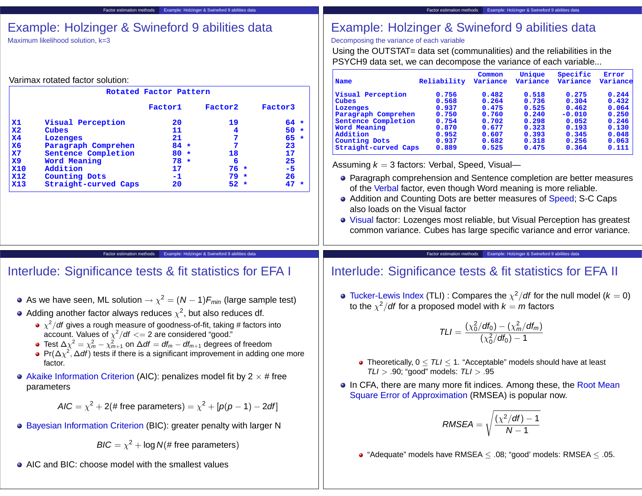| Example: Holzinger & Swineford 9 abilities data<br>Maximum likelihood solution, k=3                                                                                                                                                                   | Example: Holzinger & Swineford 9 abilities data<br>Decomposing the variance of each variable<br>Using the OUTSTAT= data set (communalities) and the reliabilities in the<br>PSYCH9 data set, we can decompose the variance of each variable                                                                                                                                                                  |
|-------------------------------------------------------------------------------------------------------------------------------------------------------------------------------------------------------------------------------------------------------|--------------------------------------------------------------------------------------------------------------------------------------------------------------------------------------------------------------------------------------------------------------------------------------------------------------------------------------------------------------------------------------------------------------|
| Varimax rotated factor solution:                                                                                                                                                                                                                      | Specific<br>Common<br>Unique<br>Error<br>Variance<br>Variance<br>Reliability<br>Variance<br>Variance<br>Name                                                                                                                                                                                                                                                                                                 |
| Rotated Factor Pattern                                                                                                                                                                                                                                | Visual Perception<br>0.244<br>0.756<br>0.482<br>0.518<br>0.275                                                                                                                                                                                                                                                                                                                                               |
| Factor3<br>Factor1<br>Factor2                                                                                                                                                                                                                         | 0.304<br>0.568<br>0.264<br>0.736<br>0.432<br>Cubes<br>0.937<br>0.475<br>0.525<br>0.462<br>0.064<br>Lozenges                                                                                                                                                                                                                                                                                                  |
| Visual Perception<br>19<br>$64 *$<br>$\mathbf{x}$ 1<br>20<br>$\mathbf{X}2$<br>11<br>$50 *$<br>Cubes<br>4<br>X <sub>4</sub><br>21<br>$65 *$<br>7<br>Lozenges<br>X6<br>$84 *$<br>23<br>Paragraph Comprehen<br>7                                         | 0.750<br>0.760<br>0.240<br>$-0.010$<br>0.250<br>Paragraph Comprehen<br>0.754<br>0.702<br>0.298<br>0.052<br>0.246<br>Sentence Completion<br>0.193<br>Word Meaning<br>0.870<br>0.677<br>0.323<br>0.130<br>Addition<br>0.952<br>0.607<br>0.393<br>0.345<br>0.048<br>0.937<br>0.682<br>0.318<br>0.256<br>0.063<br>Counting Dots<br>0.889<br>0.525<br>Straight-curved Caps<br>0.475<br>0.364<br>0.111             |
| $\mathbf{X}$<br>17<br>$80 *$<br>18<br>Sentence Completion<br>X9<br>Word Meaning<br>6<br>25<br>$78 *$                                                                                                                                                  | Assuming $k = 3$ factors: Verbal, Speed, Visual-                                                                                                                                                                                                                                                                                                                                                             |
| <b>X10</b><br>$76 *$<br>$-5$<br>Addition<br>17<br><b>X12</b><br>$-1$<br>$79 *$<br>26<br><b>Counting Dots</b><br><b>X13</b><br>Straight-curved Caps<br>$52 *$<br>$47 *$<br>20                                                                          | • Paragraph comprehension and Sentence completion are better measures<br>of the Verbal factor, even though Word meaning is more reliable.<br>• Addition and Counting Dots are better measures of Speed; S-C Caps<br>also loads on the Visual factor<br>• Visual factor: Lozenges most reliable, but Visual Perception has greatest<br>common variance. Cubes has large specific variance and error variance. |
|                                                                                                                                                                                                                                                       |                                                                                                                                                                                                                                                                                                                                                                                                              |
| Example: Holzinger & Swineford 9 abilities data<br>Factor estimation methods                                                                                                                                                                          | Example: Holzinger & Swineford 9 abilities data<br>Factor estimation methods                                                                                                                                                                                                                                                                                                                                 |
| Interlude: Significance tests & fit statistics for EFA I                                                                                                                                                                                              | Interlude: Significance tests & fit statistics for EFA II                                                                                                                                                                                                                                                                                                                                                    |
| • As we have seen, ML solution $\rightarrow \chi^2 = (N-1)F_{min}$ (large sample test)<br>• Adding another factor always reduces $\chi^2$ , but also reduces df.                                                                                      | • Tucker-Lewis Index (TLI): Compares the $\chi^2/df$ for the null model ( $k = 0$ )<br>to the $\chi^2$ /df for a proposed model with $k = m$ factors                                                                                                                                                                                                                                                         |
| • $\chi^2$ /df gives a rough measure of goodness-of-fit, taking # factors into<br>account. Values of $\chi^2/df \ll 2$ are considered "good."<br>• Test $\Delta \chi^2 = \chi^2_m - \chi^2_{m+1}$ on $\Delta df = df_m - df_{m+1}$ degrees of freedom | $TLI = \frac{(\chi_0^2/df_0) - (\chi_m^2/df_m)}{(\chi_0^2/df_0) - 1}$                                                                                                                                                                                                                                                                                                                                        |
| • Pr( $\Delta \chi^2$ , $\Delta df$ ) tests if there is a significant improvement in adding one more<br>factor.                                                                                                                                       | • Theoretically, $0 \leq TLI \leq 1$ . "Acceptable" models should have at least                                                                                                                                                                                                                                                                                                                              |
| • Akaike Information Criterion (AIC): penalizes model fit by $2 \times #$ free                                                                                                                                                                        | $TLI > .90$ ; "good" models: $TLI > .95$<br>• In CFA, there are many more fit indices. Among these, the Root Mean                                                                                                                                                                                                                                                                                            |
| parameters<br>$AIC = \chi^2 + 2$ (# free parameters) = $\chi^2 + [p(p-1) - 2df]$                                                                                                                                                                      | Square Error of Approximation (RMSEA) is popular now.                                                                                                                                                                                                                                                                                                                                                        |
| • Bayesian Information Criterion (BIC): greater penalty with larger N                                                                                                                                                                                 |                                                                                                                                                                                                                                                                                                                                                                                                              |
| $BIC = \chi^2 + \log N(\text{# free parameters})$                                                                                                                                                                                                     | $RMSEA = \sqrt{\frac{(\chi^2/df)-1}{N-1}}$<br>• "Adequate" models have RMSEA $\leq$ .08; "good' models: RMSEA $\leq$ .05.                                                                                                                                                                                                                                                                                    |

Factor estimation methods Example: Holzinger & Swineford 9 abilities data

Factor estimation methods Example: Holzinger & Swineford 9 abilities data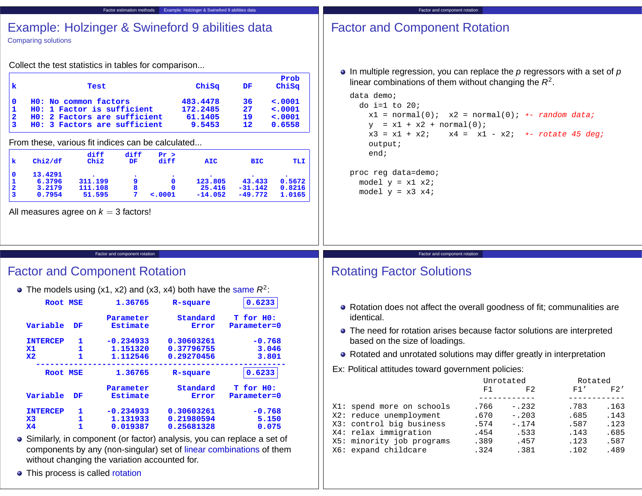| Example: Holzinger & Swineford 9 abilities data<br><b>Factor estimation methods</b>                                                                                                                                                                                                                                                                                                                                                                                                                                                                                                                                                                                                                                                                                                                                            | Factor and component rotation                                                                                                                                                                                                                                                                                                       |
|--------------------------------------------------------------------------------------------------------------------------------------------------------------------------------------------------------------------------------------------------------------------------------------------------------------------------------------------------------------------------------------------------------------------------------------------------------------------------------------------------------------------------------------------------------------------------------------------------------------------------------------------------------------------------------------------------------------------------------------------------------------------------------------------------------------------------------|-------------------------------------------------------------------------------------------------------------------------------------------------------------------------------------------------------------------------------------------------------------------------------------------------------------------------------------|
| Example: Holzinger & Swineford 9 abilities data<br><b>Comparing solutions</b>                                                                                                                                                                                                                                                                                                                                                                                                                                                                                                                                                                                                                                                                                                                                                  | <b>Factor and Component Rotation</b>                                                                                                                                                                                                                                                                                                |
| Collect the test statistics in tables for comparison                                                                                                                                                                                                                                                                                                                                                                                                                                                                                                                                                                                                                                                                                                                                                                           | $\bullet$ In multiple regression, you can replace the $p$ regressors with a set of $p$                                                                                                                                                                                                                                              |
| Prob<br>ChiSq<br>ChiSq<br>k<br>DF<br>Test<br>< .0001<br>HO: No common factors<br>483.4478<br>$\mathbf 0$<br>36<br>172.2485<br>< .0001<br>HO: 1 Factor is sufficient<br>27<br>1<br>< .0001<br>HO: 2 Factors are sufficient<br>61.1405<br>19<br>12<br>0.6558<br>3<br>HO: 3 Factors are sufficient<br>9.5453<br>From these, various fit indices can be calculated<br>diff<br>diff<br>Pr ><br>Chi2<br>chi2/df<br>diff<br>k<br>DF<br><b>AIC</b><br><b>BIC</b><br>TLI<br>13.4291<br>$\mathbf 0$<br>123.805<br>43.433<br>0.5672<br>6.3796<br>311.199<br>9<br>$\mathbf 0$<br>1<br>25.416<br>$\mathbf{2}$<br>111.108<br>8<br>$-31.142$<br>0.8216<br>3.2179<br>$\mathbf 0$<br>$\overline{\mathbf{3}}$<br>0.7954<br>7 <sup>7</sup><br>$-14.052$<br>$-49.772$<br>51.595<br>$\lt$ .0001<br>1.0165<br>All measures agree on $k = 3$ factors! | linear combinations of them without changing the $R^2$ .<br>data demo;<br>do i=1 to $20i$<br>$x1 = normal(0);$ $x2 = normal(0);$ $\ast$ - random data;<br>$y = x1 + x2 + normal(0);$<br>$x3 = x1 + x2;$<br>$x4 = x1 - x2$ ; *- rotate 45 deg;<br>output;<br>end;<br>proc reg data=demo;<br>model $y = x1 x2$ ;<br>model $y = x3 x4$ |
|                                                                                                                                                                                                                                                                                                                                                                                                                                                                                                                                                                                                                                                                                                                                                                                                                                |                                                                                                                                                                                                                                                                                                                                     |
| Factor and component rotation<br><b>Factor and Component Rotation</b>                                                                                                                                                                                                                                                                                                                                                                                                                                                                                                                                                                                                                                                                                                                                                          | Factor and component rotation<br><b>Rotating Factor Solutions</b>                                                                                                                                                                                                                                                                   |
| • The models using $(x1, x2)$ and $(x3, x4)$ both have the same $R^2$ :                                                                                                                                                                                                                                                                                                                                                                                                                                                                                                                                                                                                                                                                                                                                                        |                                                                                                                                                                                                                                                                                                                                     |
| 0.6233<br>1.36765<br><b>Root MSE</b><br>R-square                                                                                                                                                                                                                                                                                                                                                                                                                                                                                                                                                                                                                                                                                                                                                                               | • Rotation does not affect the overall goodness of fit; communalities are                                                                                                                                                                                                                                                           |
| Standard<br>T for HO:<br>Parameter<br>Variable<br><b>Estimate</b><br>DF<br>Error<br>Parameter=0                                                                                                                                                                                                                                                                                                                                                                                                                                                                                                                                                                                                                                                                                                                                | identical.                                                                                                                                                                                                                                                                                                                          |
| $-0.768$<br><b>INTERCEP</b><br>1<br>$-0.234933$<br>0.30603261                                                                                                                                                                                                                                                                                                                                                                                                                                                                                                                                                                                                                                                                                                                                                                  | • The need for rotation arises because factor solutions are interpreted<br>based on the size of loadings.                                                                                                                                                                                                                           |
| $\mathbf{X}$ <sup>1</sup><br>1.151320<br>3.046<br>0.37796755<br>1<br>$\mathbf{X}2$<br>1.112546<br>1<br>0.29270456<br>3.801                                                                                                                                                                                                                                                                                                                                                                                                                                                                                                                                                                                                                                                                                                     | • Rotated and unrotated solutions may differ greatly in interpretation                                                                                                                                                                                                                                                              |
| 0.6233<br>1.36765<br><b>Root MSE</b><br>R-square                                                                                                                                                                                                                                                                                                                                                                                                                                                                                                                                                                                                                                                                                                                                                                               | Ex: Political attitudes toward government policies:                                                                                                                                                                                                                                                                                 |
| Standard<br>T for HO:                                                                                                                                                                                                                                                                                                                                                                                                                                                                                                                                                                                                                                                                                                                                                                                                          | Unrotated<br>Rotated                                                                                                                                                                                                                                                                                                                |
| Parameter<br>Variable<br><b>Estimate</b><br>DF<br>Parameter=0<br><b>Error</b>                                                                                                                                                                                                                                                                                                                                                                                                                                                                                                                                                                                                                                                                                                                                                  | F1'<br>F1<br>F2'<br>F2                                                                                                                                                                                                                                                                                                              |
| $-0.234933$<br>0.30603261<br>$-0.768$<br><b>INTERCEP</b><br>1                                                                                                                                                                                                                                                                                                                                                                                                                                                                                                                                                                                                                                                                                                                                                                  | X1: spend more on schools<br>.766<br>$-.232$<br>.783<br>.163                                                                                                                                                                                                                                                                        |
| 5.150<br>$\mathbf{X}$ 3<br>1<br>1.131933<br>0.21980594                                                                                                                                                                                                                                                                                                                                                                                                                                                                                                                                                                                                                                                                                                                                                                         | X2: reduce unemployment<br>.670<br>$-.203$<br>.685<br>.143<br>X3: control big business<br>.574<br>$-.174$<br>.587<br>.123                                                                                                                                                                                                           |
| $\mathbf{x}$<br>1.<br>0.019387<br>0.25681328<br>0.075                                                                                                                                                                                                                                                                                                                                                                                                                                                                                                                                                                                                                                                                                                                                                                          | X4: relax immigration<br>.454<br>.533<br>.143<br>.685                                                                                                                                                                                                                                                                               |
| • Similarly, in component (or factor) analysis, you can replace a set of                                                                                                                                                                                                                                                                                                                                                                                                                                                                                                                                                                                                                                                                                                                                                       |                                                                                                                                                                                                                                                                                                                                     |
|                                                                                                                                                                                                                                                                                                                                                                                                                                                                                                                                                                                                                                                                                                                                                                                                                                | X5: minority job programs<br>.389<br>.457<br>.123<br>.587                                                                                                                                                                                                                                                                           |
| components by any (non-singular) set of linear combinations of them                                                                                                                                                                                                                                                                                                                                                                                                                                                                                                                                                                                                                                                                                                                                                            | X6: expand childcare<br>.324<br>.102<br>.489<br>.381                                                                                                                                                                                                                                                                                |
| without changing the variation accounted for.<br>• This process is called rotation                                                                                                                                                                                                                                                                                                                                                                                                                                                                                                                                                                                                                                                                                                                                             |                                                                                                                                                                                                                                                                                                                                     |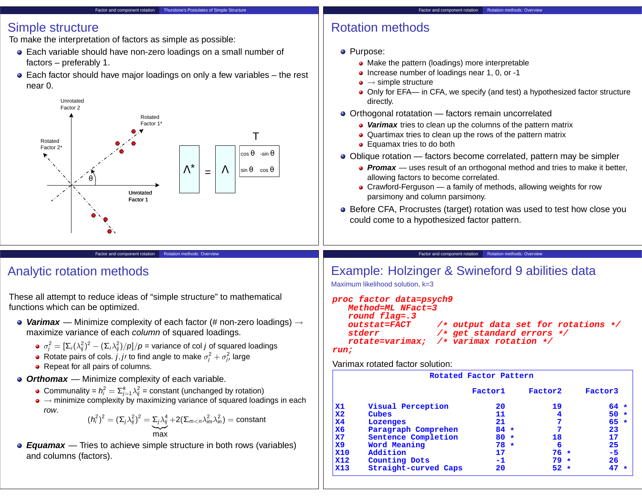#### Factor and component rotation Thurstone's Postulates of Simple Structure

### Simple structure

To make the interpretation of factors as simple as possible:

- Each variable should have non-zero loadings on a small number of factors – preferably 1.
- Each factor should have major loadings on only a few variables the rest near 0.



### Factor and component rotation **Rotation methods: Overview**

## Rotation methods

- Purpose:
	- Make the pattern (loadings) more interpretable
	- Increase number of loadings near 1, 0, or -1
	- $\bullet \rightarrow$  simple structure
	- Only for EFA— in CFA, we specify (and test) a hypothesized factor structure directly.
- Orthogonal rotatation factors remain uncorrelated
	- **Varimax** tries to clean up the columns of the pattern matrix
	- Quartimax tries to clean up the rows of the pattern matrix
	- Equamax tries to do both
- Oblique rotation factors become correlated, pattern may be simpler
	- **Promax** uses result of an orthogonal method and tries to make it better, allowing factors to become correlated.
	- Crawford-Ferguson a family of methods, allowing weights for row parsimony and column parsimony.
- Before CFA, Procrustes (target) rotation was used to test how close you could come to a hypothesized factor pattern.

#### Factor and component rotation Rotation methods: Overvie

# Example: Holzinger & Swineford 9 abilities data

Maximum likelihood solution, k=3

| proc factor data=psych9<br>Method=ML NFact=3 |                                         |  |
|----------------------------------------------|-----------------------------------------|--|
| round flag=.3<br><i>outstat=FACT</i>         | $/*$ output data set for rotations $*/$ |  |
| stderr                                       | $/*$ get standard errors $*/$           |  |
|                                              | rotate=varimax; /* varimax rotation */  |  |
|                                              |                                         |  |
| run;                                         |                                         |  |

### Varimax rotated factor solution:

|                |                      | Rotated Factor Pattern |         |         |
|----------------|----------------------|------------------------|---------|---------|
|                |                      | Factor1                | Factor2 | Factor3 |
| $\mathbf{x}$ 1 | Visual Perception    | 20                     | 19      | $64 *$  |
| $\mathbf{X}2$  | Cubes                | 11                     | 4       | $50 *$  |
| X <sub>4</sub> | Lozenges             | 21                     | 7       | $65 *$  |
| X6             | Paragraph Comprehen  | $84 *$                 | 7       | 23      |
| X7             | Sentence Completion  | $80 *$                 | 18      | 17      |
| $\mathbf{X}9$  | Word Meaning         | $78 *$                 | 6       | 25      |
| <b>X10</b>     | Addition             | 17                     | $76 *$  | $-5$    |
| <b>X12</b>     | <b>Counting Dots</b> | -1                     | $79 *$  | 26      |
| X13            | Straight-curved Caps | 20                     | $52 *$  | 47      |

# Analytic rotation methods

These all attempt to reduce ideas of "simple structure" to mathematical functions which can be optimized.

**Varimax** — Minimize complexity of each factor (# non-zero loadings) → maximize variance of each column of squared loadings.

Factor and component rotation Rotation methods: Overvie

- $\sigma_j^2=[\Sigma_i(\lambda_{ij}^2)^2-(\Sigma_i\lambda_{ij}^2)/\rho]/\rho$  = variance of col  $j$  of squared loadings
- Rotate pairs of cols. j, j/ to find angle to make  $\sigma_j^2 + \sigma_{j\prime}^2$  large
- Repeat for all pairs of columns.
- **Orthomax** Minimize complexity of each variable.
	- Communality =  $h_i^2 = \sum_{j=1}^k \lambda_{ij}^2$  = constant (unchanged by rotation)
	- $\bullet \rightarrow$  minimize complexity by maximizing variance of squared loadings in each row.

$$
(h_i^2)^2 = (\Sigma_j \lambda_{ij}^2)^2 = \underbrace{\Sigma_j \lambda_{ij}^4}_{\text{max}} + 2(\Sigma_{m < n} \lambda_{im}^2 \lambda_{in}^2) = \text{constant}
$$

**Equamax** — Tries to achieve simple structure in both rows (variables) and columns (factors).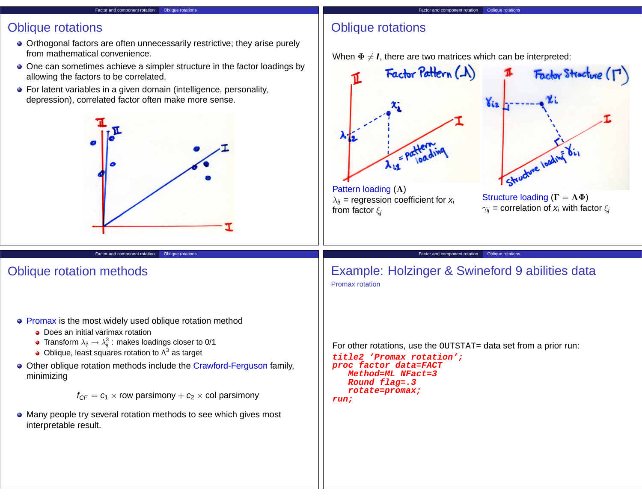#### Factor and component rotation Oblique rotations

## Oblique rotations

- Orthogonal factors are often unnecessarily restrictive; they arise purely from mathematical convenience.
- One can sometimes achieve a simpler structure in the factor loadings by allowing the factors to be correlated.
- **•** For latent variables in a given domain (intelligence, personality, depression), correlated factor often make more sense.



Factor and component rotation Oblique rotations

## Oblique rotation methods

- Promax is the most widely used oblique rotation method
	- Does an initial varimax rotation
	- Transform  $\lambda_{ij}\rightarrow \lambda_{ij}^3$  : makes loadings closer to 0/1
	- Oblique, least squares rotation to  $\Lambda^3$  as target
- Other oblique rotation methods include the Crawford-Ferguson family, minimizing

 $f_{CF} = c_1 \times$  row parsimony  $+ c_2 \times$  col parsimony

Many people try several rotation methods to see which gives most interpretable result.

# Oblique rotations

When  $\Phi \neq I$ , there are two matrices which can be interpreted:



For other rotations, use the OUTSTAT= data set from a prior run:

```
title2 'Promax rotation';
proc factor data=FACT
  Method=ML NFact=3
   Round flag=.3
   rotate=promax;
run;
```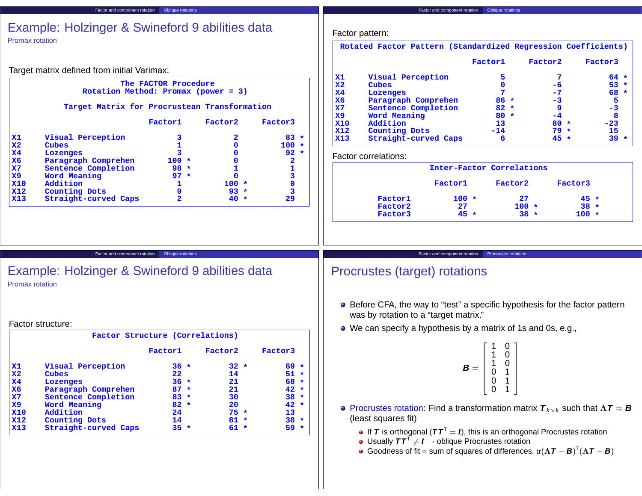### Factor and component rotation Oblique rotations Example: Holzinger & Swineford 9 abilities data Promax rotation Factor pattern:

Target matrix defined from initial Varimax:

### **The FACTOR Procedure Rotation Method: Promax (power = 3)**

### **Target Matrix for Procrustean Transformation**

|                           |                      | Factor1 | Factor2  | Factor3      |  |
|---------------------------|----------------------|---------|----------|--------------|--|
| $\mathbf{x}$ 1            | Visual Perception    | 3       | 2        | $83 *$       |  |
| $\mathbf{X}2$             | Cubes                |         | $\Omega$ | 100          |  |
| $\mathbf{X}$ <sup>4</sup> | Lozenges             | 3       | 0        | $92 *$       |  |
| X6                        | Paragraph Comprehen  | $100 *$ | O        | $\mathbf{2}$ |  |
| $\mathbf{X}$              | Sentence Completion  | $98 *$  |          |              |  |
| $\mathbf{x}$ 9            | Word Meaning         | $97 *$  | O        |              |  |
| <b>X10</b>                | Addition             |         | $100 *$  |              |  |
| <b>X12</b>                | Counting Dots        | 0       | $93 *$   |              |  |
| <b>X13</b>                | Straight-curved Caps | 2       | $40*$    | 29           |  |

**Rotated Factor Pattern (Standardized Regression Coefficients)**

|            |                      | Factor1 | Factor2 | Factor3 |  |
|------------|----------------------|---------|---------|---------|--|
| x1         | Visual Perception    | 5       |         | $64 *$  |  |
| l x2       | Cubes                | 0       | -6      | $53 *$  |  |
| l x4       | Lozenges             | 7       | $-7$    | 68 *    |  |
| X6         | Paragraph Comprehen  | $86 *$  | $-3$    | 5       |  |
| l x7       | Sentence Completion  | $82 *$  |         | $-3$    |  |
| l x9       | Word Meaning         | $80 *$  | -4      | 8       |  |
| <b>X10</b> | Addition             | 13      | $80 *$  | $-23$   |  |
| <b>X12</b> | <b>Counting Dots</b> | $-14$   | $79 *$  | 15      |  |
| <b>X13</b> | Straight-curved Caps | 6       | $45 *$  | 39      |  |

### Factor correlations:

|         |         | Inter-Factor Correlations |         |  |
|---------|---------|---------------------------|---------|--|
|         | Factor1 | Factor2                   | Factor3 |  |
| Factor1 | $100 *$ | 27                        | $45 *$  |  |
| Factor2 | 27      | $100 *$                   | $38 *$  |  |
| Factor3 | $45 *$  | $38 *$                    | $100 *$ |  |

Factor and component rotation Oblique rotations

### Example: Holzinger & Swineford 9 abilities data Promax rotation

### Factor structure:

|                           | Factor Structure (Correlations) |         |         |         |         |         |         |
|---------------------------|---------------------------------|---------|---------|---------|---------|---------|---------|
|                           |                                 | Factor1 |         | Factor2 |         | Factor3 |         |
| $\mathbf{X}$ <sup>1</sup> | Visual Perception               | $36 *$  |         | $32 *$  |         | 69      | $\star$ |
| $\mathbf{X}2$             | Cubes                           | 22      |         | 14      |         | 51      | 未       |
| X <sub>4</sub>            | Lozenges                        | $36 *$  |         | 21      |         | 68      | $\star$ |
| X6                        | Paragraph Comprehen             | 87      | $\star$ | 21      |         | 42      | $\star$ |
| $\mathbf{X}$              | Sentence Completion             | $83 *$  |         | 30      |         | 38      | 未       |
| $\mathbf{x}$ 9            | Word Meaning                    | $82 *$  |         | 20      |         | 42      | $\star$ |
| <b>X10</b>                | Addition                        | 24      |         | $75 *$  |         | 13      |         |
| <b>X12</b>                | Counting Dots                   | 14      |         | 81      | $\star$ | 38      | $\star$ |
| X13                       | Straight-curved Caps            | $35 *$  |         | 61      | $\star$ | 59      | $\star$ |
|                           |                                 |         |         |         |         |         |         |

### Factor and component rotation Procrustes rotations

# Procrustes (target) rotations

- Before CFA, the way to "test" a specific hypothesis for the factor pattern was by rotation to a "target matrix."
- We can specify a hypothesis by a matrix of 1s and 0s, e.g.,

$$
\mathbf{B} = \left[ \begin{array}{rrr} 1 & 0 \\ 1 & 0 \\ 1 & 0 \\ 0 & 1 \\ 0 & 1 \\ 0 & 1 \end{array} \right]
$$

- **Procrustes rotation:** Find a transformation matrix  $T_{k \times k}$  such that  $\Lambda T \approx B$ (least squares fit)
	- **If T** is orthogonal  $(TT^T = I)$ , this is an orthogonal Procrustes rotation
	- Usually  $\boldsymbol{T}\boldsymbol{T}^{\intercal} \neq \boldsymbol{I} \to \text{oblique Procrustes rotation}$
	- Goodness of fit = sum of squares of differences,  $tr(\Lambda \boldsymbol{T} \boldsymbol{B})^T (\Lambda \boldsymbol{T} \boldsymbol{B})$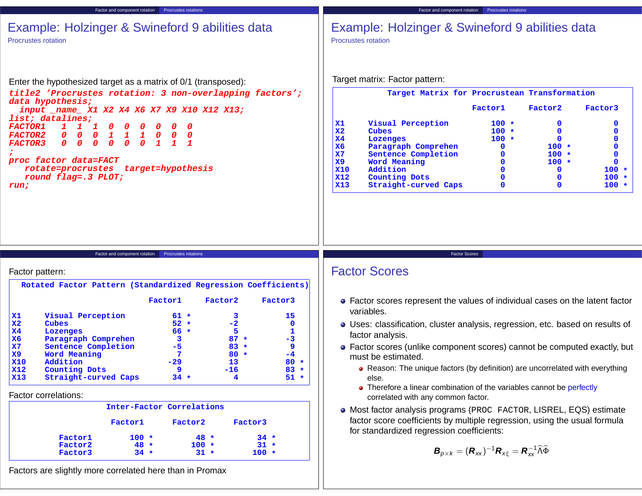| <b>Procrustes rotation</b>                                                                                                                         | Example: Holzinger & Swineford 9 abilities data                  |                  |                  |                      | Example: Holzinger & Swineford 9 abilities data<br><b>Procrustes rotation</b>                                          |                      |                                                                                                                                     |                                              |                            |
|----------------------------------------------------------------------------------------------------------------------------------------------------|------------------------------------------------------------------|------------------|------------------|----------------------|------------------------------------------------------------------------------------------------------------------------|----------------------|-------------------------------------------------------------------------------------------------------------------------------------|----------------------------------------------|----------------------------|
| Enter the hypothesized target as a matrix of 0/1 (transposed):                                                                                     |                                                                  |                  |                  |                      | Target matrix: Factor pattern:                                                                                         |                      |                                                                                                                                     |                                              |                            |
| title2 'Procrustes rotation: 3 non-overlapping factors';<br>data hypothesis;                                                                       |                                                                  |                  |                  |                      |                                                                                                                        |                      |                                                                                                                                     | Target Matrix for Procrustean Transformation |                            |
| input _name_ X1 X2 X4 X6 X7 X9 X10 X12 X13;<br>list; datalines;                                                                                    |                                                                  |                  |                  | <b>X1</b>            | Visual Perception                                                                                                      |                      | Factor1<br>$100 *$                                                                                                                  | Factor2<br>$\mathbf 0$                       | Factor3<br>0               |
| <i><b>FACTOR1</b></i><br>$\mathbf{1}$<br>0<br>$\mathbf{1}$<br>$\mathbf{I}$<br>$\mathbf{1}$<br><b>FACTOR2</b><br>$\mathbf{1}$<br>0<br>0<br>$\bm{o}$ | 0<br>$\mathbf{1}$<br>$\overline{\mathbf{0}}$<br>0<br>0           |                  |                  | X <sub>2</sub>       | Cubes                                                                                                                  |                      | $100 *$                                                                                                                             | $\mathbf 0$                                  | $\mathbf{0}$               |
| $\boldsymbol{0}$<br>$\overline{a}$<br>$\boldsymbol{0}$<br>$\boldsymbol{o}$<br>$\boldsymbol{0}$<br><b>FACTOR3</b>                                   | $\mathbf{1}$<br>$\boldsymbol{0}$<br>$\mathbf{1}$<br>$\mathbf{7}$ |                  |                  | X <sub>4</sub><br>X6 | Lozenges<br>Paragraph Comprehen                                                                                        |                      | $100 *$<br>$\mathbf 0$                                                                                                              | $\mathbf 0$<br>$100 *$                       | $\mathbf 0$<br>$\mathbf 0$ |
|                                                                                                                                                    |                                                                  |                  |                  | $\mathbf{X}$         | Sentence Completion                                                                                                    |                      | 0                                                                                                                                   | $100 *$                                      | $\mathbf 0$                |
| proc factor data=FACT<br>rotate=procrustes target=hypothesis                                                                                       |                                                                  |                  |                  | X9<br><b>X10</b>     | Word Meaning<br>Addition                                                                                               |                      | $\Omega$<br>$\Omega$                                                                                                                | $100 *$<br>$\mathbf 0$                       | $\mathbf 0$<br>$100 *$     |
| round flag=.3 PLOT;                                                                                                                                |                                                                  |                  |                  | <b>X12</b>           | <b>Counting Dots</b>                                                                                                   |                      | $\mathbf 0$                                                                                                                         | $\mathbf 0$                                  | $100 *$                    |
| run;                                                                                                                                               |                                                                  |                  |                  | <b>X13</b>           | Straight-curved Caps                                                                                                   |                      | $\mathbf{0}$                                                                                                                        | $\mathbf 0$                                  | $100 *$                    |
|                                                                                                                                                    |                                                                  |                  |                  |                      |                                                                                                                        |                      |                                                                                                                                     |                                              |                            |
| Factor pattern:                                                                                                                                    | Factor and component rotation Procrustes rotations               |                  |                  |                      | <b>Factor Scores</b>                                                                                                   | <b>Factor Scores</b> |                                                                                                                                     |                                              |                            |
| Rotated Factor Pattern (Standardized Regression Coefficients)                                                                                      |                                                                  |                  |                  |                      |                                                                                                                        |                      |                                                                                                                                     |                                              |                            |
|                                                                                                                                                    | Factor1                                                          | Factor2          | Factor3          |                      | • Factor scores represent the values of individual cases on the latent factor                                          |                      |                                                                                                                                     |                                              |                            |
| Visual Perception<br><u>x1</u>                                                                                                                     | $61 *$                                                           | 3                | 15               |                      | variables.                                                                                                             |                      |                                                                                                                                     |                                              |                            |
| $\mathbf{X}2$<br>Cubes<br><b>X4</b><br>Lozenges                                                                                                    | $52 *$<br>$66 *$                                                 | $-2$<br>5        | $\mathbf 0$<br>1 |                      | • Uses: classification, cluster analysis, regression, etc. based on results of                                         |                      |                                                                                                                                     |                                              |                            |
| Paragraph Comprehen<br>X6                                                                                                                          | 3                                                                | $87 *$<br>$83 *$ | $-3$<br>9        |                      | factor analysis.                                                                                                       |                      |                                                                                                                                     |                                              |                            |
| $\mathbf{X}$ 7<br>Sentence Completion<br><b>X9</b><br>Word Meaning                                                                                 | $-5$                                                             | $80 *$           | $-4$             |                      | • Factor scores (unlike component scores) cannot be computed exactly, but<br>must be estimated.                        |                      |                                                                                                                                     |                                              |                            |
| <b>X10</b><br>Addition                                                                                                                             | $-29$<br>۰                                                       | 13<br>$-16$      | $80 *$           |                      |                                                                                                                        |                      |                                                                                                                                     |                                              |                            |
| <b>X12</b><br>Counting Dots<br><b>X13</b><br>Straight-curved Caps                                                                                  | $34 *$                                                           | 4                | 83<br>$51 *$     |                      | • Reason: The unique factors (by definition) are uncorrelated with everything<br>else.                                 |                      |                                                                                                                                     |                                              |                            |
| Factor correlations:                                                                                                                               |                                                                  |                  |                  |                      | • Therefore a linear combination of the variables cannot be perfectly<br>correlated with any common factor.            |                      |                                                                                                                                     |                                              |                            |
|                                                                                                                                                    | Inter-Factor Correlations                                        |                  |                  |                      | • Most factor analysis programs (PROC FACTOR, LISREL, EQS) estimate                                                    |                      |                                                                                                                                     |                                              |                            |
| Factor1                                                                                                                                            | Factor2                                                          | Factor3          |                  |                      | factor score coefficients by multiple regression, using the usual formula<br>for standardized regression coefficients: |                      |                                                                                                                                     |                                              |                            |
| Factor1<br>Factor2                                                                                                                                 | $100 *$<br>$48 *$<br>$48 *$<br>$100 *$                           | $34 *$<br>$31 *$ |                  |                      |                                                                                                                        |                      | $\boldsymbol{B}_{p\times k}=(\boldsymbol{R}_{xx})^{-1}\boldsymbol{R}_{x\xi}=\boldsymbol{R}_{xx}^{-1}\widehat{\wedge}\widehat{\Phi}$ |                                              |                            |
|                                                                                                                                                    |                                                                  |                  |                  |                      |                                                                                                                        |                      |                                                                                                                                     |                                              |                            |